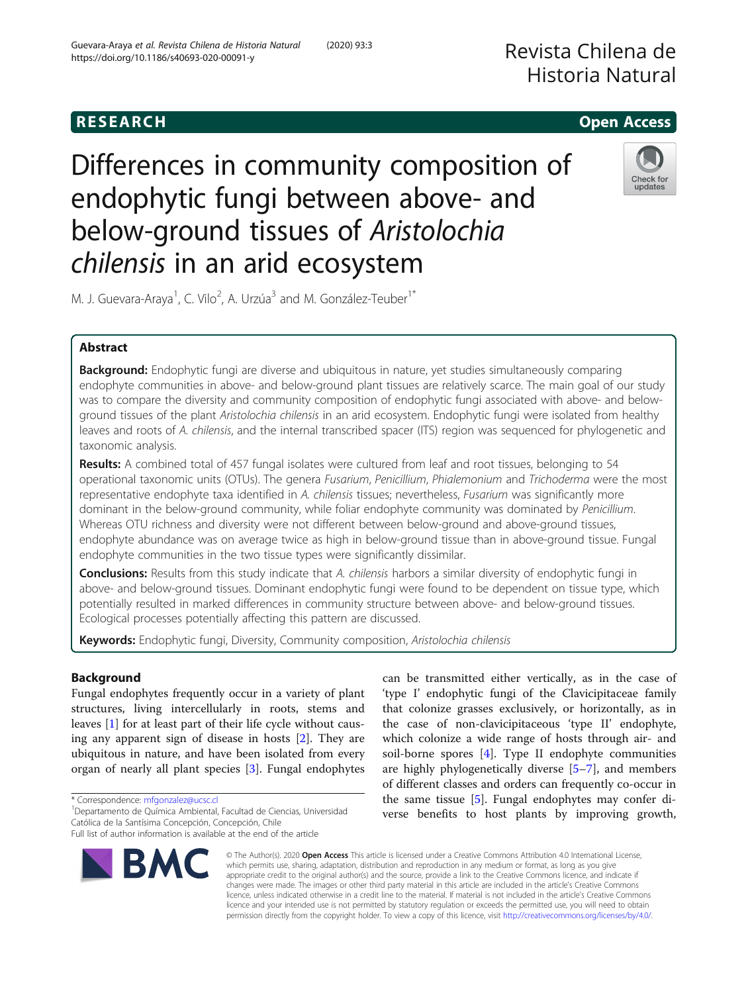# Revista Chilena de Historia Natural

# **RESEARCH CHILD CONTROL** CONTROL CONTROL CONTROL CONTROL CONTROL CONTROL CONTROL CONTROL CONTROL CONTROL CONTROL

Differences in community composition of endophytic fungi between above- and below-ground tissues of Aristolochia chilensis in an arid ecosystem



M. J. Guevara-Araya<sup>1</sup>, C. Vilo<sup>2</sup>, A. Urzúa<sup>3</sup> and M. González-Teuber<sup>1\*</sup>

# Abstract

Background: Endophytic fungi are diverse and ubiquitous in nature, yet studies simultaneously comparing endophyte communities in above- and below-ground plant tissues are relatively scarce. The main goal of our study was to compare the diversity and community composition of endophytic fungi associated with above- and belowground tissues of the plant Aristolochia chilensis in an arid ecosystem. Endophytic fungi were isolated from healthy leaves and roots of A. chilensis, and the internal transcribed spacer (ITS) region was sequenced for phylogenetic and taxonomic analysis.

Results: A combined total of 457 fungal isolates were cultured from leaf and root tissues, belonging to 54 operational taxonomic units (OTUs). The genera Fusarium, Penicillium, Phialemonium and Trichoderma were the most representative endophyte taxa identified in A. chilensis tissues; nevertheless, Fusarium was significantly more dominant in the below-ground community, while foliar endophyte community was dominated by Penicillium. Whereas OTU richness and diversity were not different between below-ground and above-ground tissues, endophyte abundance was on average twice as high in below-ground tissue than in above-ground tissue. Fungal endophyte communities in the two tissue types were significantly dissimilar.

Conclusions: Results from this study indicate that A. chilensis harbors a similar diversity of endophytic fungi in above- and below-ground tissues. Dominant endophytic fungi were found to be dependent on tissue type, which potentially resulted in marked differences in community structure between above- and below-ground tissues. Ecological processes potentially affecting this pattern are discussed.

Keywords: Endophytic fungi, Diversity, Community composition, Aristolochia chilensis

# Background

Fungal endophytes frequently occur in a variety of plant structures, living intercellularly in roots, stems and leaves [[1\]](#page-7-0) for at least part of their life cycle without causing any apparent sign of disease in hosts [[2\]](#page-7-0). They are ubiquitous in nature, and have been isolated from every organ of nearly all plant species [\[3](#page-7-0)]. Fungal endophytes

\* Correspondence: [mfgonzalez@ucsc.cl](mailto:mfgonzalez@ucsc.cl) <sup>1</sup>

Departamento de Química Ambiental, Facultad de Ciencias, Universidad Católica de la Santísima Concepción, Concepción, Chile

Full list of author information is available at the end of the article



can be transmitted either vertically, as in the case of 'type I' endophytic fungi of the Clavicipitaceae family that colonize grasses exclusively, or horizontally, as in the case of non-clavicipitaceous 'type II' endophyte, which colonize a wide range of hosts through air- and soil-borne spores [\[4](#page-7-0)]. Type II endophyte communities are highly phylogenetically diverse [\[5](#page-7-0)–[7](#page-7-0)], and members of different classes and orders can frequently co-occur in the same tissue [[5\]](#page-7-0). Fungal endophytes may confer diverse benefits to host plants by improving growth,

© The Author(s). 2020 Open Access This article is licensed under a Creative Commons Attribution 4.0 International License, which permits use, sharing, adaptation, distribution and reproduction in any medium or format, as long as you give appropriate credit to the original author(s) and the source, provide a link to the Creative Commons licence, and indicate if changes were made. The images or other third party material in this article are included in the article's Creative Commons licence, unless indicated otherwise in a credit line to the material. If material is not included in the article's Creative Commons licence and your intended use is not permitted by statutory regulation or exceeds the permitted use, you will need to obtain permission directly from the copyright holder. To view a copy of this licence, visit [http://creativecommons.org/licenses/by/4.0/.](http://creativecommons.org/licenses/by/4.0/)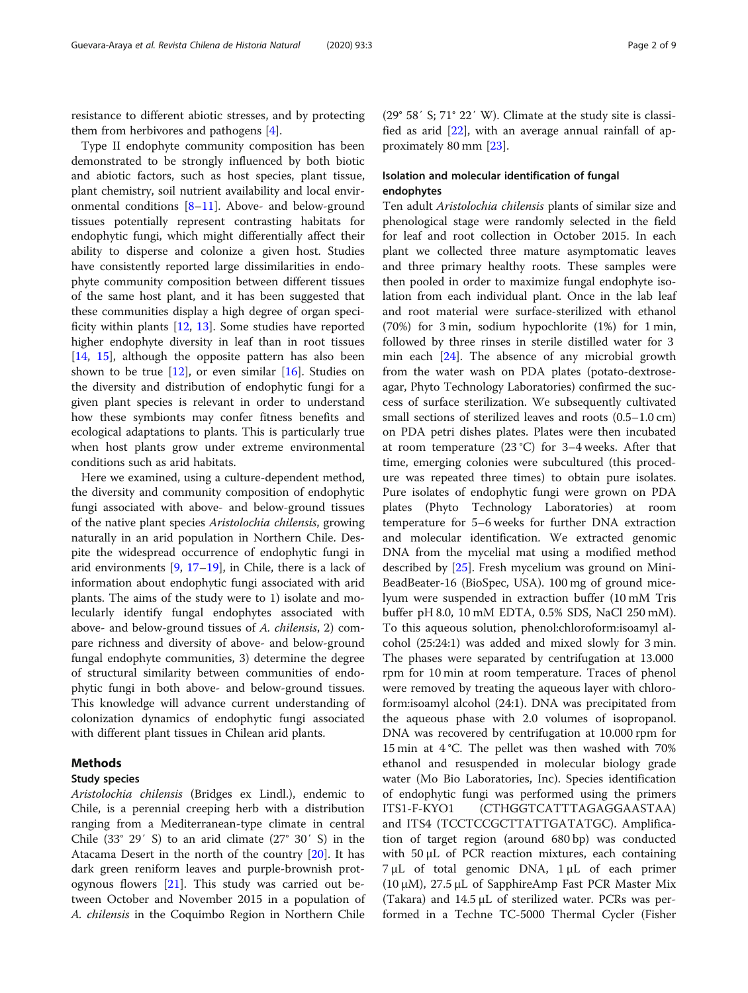resistance to different abiotic stresses, and by protecting them from herbivores and pathogens [[4](#page-7-0)].

Type II endophyte community composition has been demonstrated to be strongly influenced by both biotic and abiotic factors, such as host species, plant tissue, plant chemistry, soil nutrient availability and local environmental conditions [[8](#page-7-0)–[11\]](#page-7-0). Above- and below-ground tissues potentially represent contrasting habitats for endophytic fungi, which might differentially affect their ability to disperse and colonize a given host. Studies have consistently reported large dissimilarities in endophyte community composition between different tissues of the same host plant, and it has been suggested that these communities display a high degree of organ specificity within plants [\[12,](#page-7-0) [13](#page-7-0)]. Some studies have reported higher endophyte diversity in leaf than in root tissues [[14,](#page-7-0) [15\]](#page-7-0), although the opposite pattern has also been shown to be true  $[12]$  $[12]$ , or even similar  $[16]$  $[16]$ . Studies on the diversity and distribution of endophytic fungi for a given plant species is relevant in order to understand how these symbionts may confer fitness benefits and ecological adaptations to plants. This is particularly true when host plants grow under extreme environmental conditions such as arid habitats.

Here we examined, using a culture-dependent method, the diversity and community composition of endophytic fungi associated with above- and below-ground tissues of the native plant species Aristolochia chilensis, growing naturally in an arid population in Northern Chile. Despite the widespread occurrence of endophytic fungi in arid environments [\[9](#page-7-0), [17](#page-7-0)–[19](#page-7-0)], in Chile, there is a lack of information about endophytic fungi associated with arid plants. The aims of the study were to 1) isolate and molecularly identify fungal endophytes associated with above- and below-ground tissues of A. chilensis, 2) compare richness and diversity of above- and below-ground fungal endophyte communities, 3) determine the degree of structural similarity between communities of endophytic fungi in both above- and below-ground tissues. This knowledge will advance current understanding of colonization dynamics of endophytic fungi associated with different plant tissues in Chilean arid plants.

### Methods

### Study species

Aristolochia chilensis (Bridges ex Lindl.), endemic to Chile, is a perennial creeping herb with a distribution ranging from a Mediterranean-type climate in central Chile (33° 29′ S) to an arid climate (27° 30′ S) in the Atacama Desert in the north of the country [\[20\]](#page-7-0). It has dark green reniform leaves and purple-brownish protogynous flowers [[21](#page-7-0)]. This study was carried out between October and November 2015 in a population of A. chilensis in the Coquimbo Region in Northern Chile

(29° 58′ S; 71° 22′ W). Climate at the study site is classified as arid [\[22](#page-7-0)], with an average annual rainfall of approximately 80 mm [\[23](#page-7-0)].

# Isolation and molecular identification of fungal endophytes

Ten adult Aristolochia chilensis plants of similar size and phenological stage were randomly selected in the field for leaf and root collection in October 2015. In each plant we collected three mature asymptomatic leaves and three primary healthy roots. These samples were then pooled in order to maximize fungal endophyte isolation from each individual plant. Once in the lab leaf and root material were surface-sterilized with ethanol (70%) for 3 min, sodium hypochlorite (1%) for 1 min, followed by three rinses in sterile distilled water for 3 min each [\[24](#page-7-0)]. The absence of any microbial growth from the water wash on PDA plates (potato-dextroseagar, Phyto Technology Laboratories) confirmed the success of surface sterilization. We subsequently cultivated small sections of sterilized leaves and roots (0.5–1.0 cm) on PDA petri dishes plates. Plates were then incubated at room temperature (23 °C) for 3–4 weeks. After that time, emerging colonies were subcultured (this procedure was repeated three times) to obtain pure isolates. Pure isolates of endophytic fungi were grown on PDA plates (Phyto Technology Laboratories) at room temperature for 5–6 weeks for further DNA extraction and molecular identification. We extracted genomic DNA from the mycelial mat using a modified method described by [[25\]](#page-7-0). Fresh mycelium was ground on Mini-BeadBeater-16 (BioSpec, USA). 100 mg of ground micelyum were suspended in extraction buffer (10 mM Tris buffer pH 8.0, 10 mM EDTA, 0.5% SDS, NaCl 250 mM). To this aqueous solution, phenol:chloroform:isoamyl alcohol (25:24:1) was added and mixed slowly for 3 min. The phases were separated by centrifugation at 13.000 rpm for 10 min at room temperature. Traces of phenol were removed by treating the aqueous layer with chloroform:isoamyl alcohol (24:1). DNA was precipitated from the aqueous phase with 2.0 volumes of isopropanol. DNA was recovered by centrifugation at 10.000 rpm for 15 min at 4 °C. The pellet was then washed with 70% ethanol and resuspended in molecular biology grade water (Mo Bio Laboratories, Inc). Species identification of endophytic fungi was performed using the primers ITS1-F-KYO1 (CTHGGTCATTTAGAGGAASTAA) and ITS4 (TCCTCCGCTTATTGATATGC). Amplification of target region (around 680 bp) was conducted with 50 μL of PCR reaction mixtures, each containing 7 μL of total genomic DNA, 1 μL of each primer (10 μM), 27.5 μL of SapphireAmp Fast PCR Master Mix (Takara) and 14.5 μL of sterilized water. PCRs was performed in a Techne TC-5000 Thermal Cycler (Fisher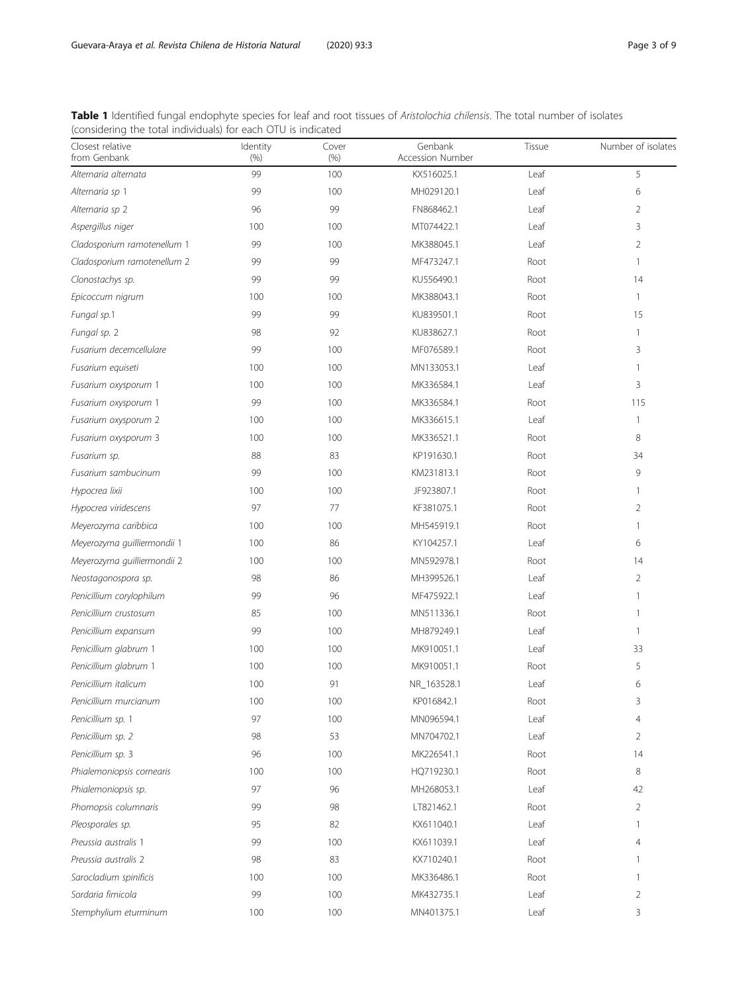<span id="page-2-0"></span>

| Table 1 Identified fungal endophyte species for leaf and root tissues of Aristolochia chilensis. The total number of isolates |  |
|-------------------------------------------------------------------------------------------------------------------------------|--|
| (considering the total individuals) for each OTU is indicated                                                                 |  |

| Closest relative<br>from Genbank | Identity<br>(% ) | Cover<br>(% ) | Genbank<br><b>Accession Number</b> | Tissue | Number of isolates |
|----------------------------------|------------------|---------------|------------------------------------|--------|--------------------|
| Alternaria alternata             | 99               | 100           | KX516025.1                         | Leaf   | 5                  |
| Alternaria sp 1                  | 99               | 100           | MH029120.1                         | Leaf   | 6                  |
| Alternaria sp 2                  | 96               | 99            | FN868462.1                         | Leaf   | 2                  |
| Aspergillus niger                | 100              | 100           | MT074422.1                         | Leaf   | 3                  |
| Cladosporium ramotenellum 1      | 99               | 100           | MK388045.1                         | Leaf   | 2                  |
| Cladosporium ramotenellum 2      | 99               | 99            | MF473247.1                         | Root   | 1                  |
| Clonostachys sp.                 | 99               | 99            | KU556490.1                         | Root   | 14                 |
| Epicoccum nigrum                 | 100              | 100           | MK388043.1                         | Root   | 1                  |
| Fungal sp.1                      | 99               | 99            | KU839501.1                         | Root   | 15                 |
| Fungal sp. 2                     | 98               | 92            | KU838627.1                         | Root   | 1                  |
| Fusarium decemcellulare          | 99               | 100           | MF076589.1                         | Root   | 3                  |
| Fusarium equiseti                | 100              | 100           | MN133053.1                         | Leaf   | 1                  |
| Fusarium oxysporum 1             | 100              | 100           | MK336584.1                         | Leaf   | 3                  |
| Fusarium oxysporum 1             | 99               | 100           | MK336584.1                         | Root   | 115                |
| Fusarium oxysporum 2             | 100              | 100           | MK336615.1                         | Leaf   | -1                 |
| Fusarium oxysporum 3             | 100              | 100           | MK336521.1                         | Root   | 8                  |
| Fusarium sp.                     | 88               | 83            | KP191630.1                         | Root   | 34                 |
| Fusarium sambucinum              | 99               | 100           | KM231813.1                         | Root   | 9                  |
| Hypocrea lixii                   | 100              | 100           | JF923807.1                         | Root   | 1                  |
| Hypocrea viridescens             | 97               | 77            | KF381075.1                         | Root   | 2                  |
| Meyerozyma caribbica             | 100              | 100           | MH545919.1                         | Root   | -1                 |
| Meyerozyma guilliermondii 1      | 100              | 86            | KY104257.1                         | Leaf   | 6                  |
| Meyerozyma guilliermondii 2      | 100              | 100           | MN592978.1                         | Root   | 14                 |
| Neostagonospora sp.              | 98               | 86            | MH399526.1                         | Leaf   | 2                  |
| Penicillium corylophilum         | 99               | 96            | MF475922.1                         | Leaf   | 1                  |
| Penicillium crustosum            | 85               | 100           | MN511336.1                         | Root   | 1                  |
| Penicillium expansum             | 99               | 100           | MH879249.1                         | Leaf   | 1                  |
| Penicillium glabrum 1            | 100              | 100           | MK910051.1                         | Leaf   | 33                 |
| Penicillium glabrum 1            | 100              | 100           | MK910051.1                         | Root   | 5                  |
| Penicillium italicum             | 100              | 91            | NR_163528.1                        | Leaf   | 6                  |
| Penicillium murcianum            | 100              | 100           | KP016842.1                         | Root   | 3                  |
| Penicillium sp. 1                | 97               | 100           | MN096594.1                         | Leaf   | 4                  |
| Penicillium sp. 2                | 98               | 53            | MN704702.1                         | Leaf   | 2                  |
| Penicillium sp. 3                | 96               | 100           | MK226541.1                         | Root   | 14                 |
| Phialemoniopsis cornearis        | 100              | 100           | HQ719230.1                         | Root   | 8                  |
| Phialemoniopsis sp.              | 97               | 96            | MH268053.1                         | Leaf   | 42                 |
| Phomopsis columnaris             | 99               | 98            | LT821462.1                         | Root   | $\overline{2}$     |
| Pleosporales sp.                 | 95               | 82            | KX611040.1                         | Leaf   | 1                  |
| Preussia australis 1             | 99               | 100           | KX611039.1                         | Leaf   | 4                  |
| Preussia australis 2             | 98               | 83            | KX710240.1                         | Root   | 1                  |
| Sarocladium spinificis           | 100              | 100           | MK336486.1                         | Root   | 1                  |
| Sordaria fimicola                | 99               | 100           | MK432735.1                         | Leaf   | 2                  |
| Stemphylium eturminum            | 100              | 100           | MN401375.1                         | Leaf   | 3                  |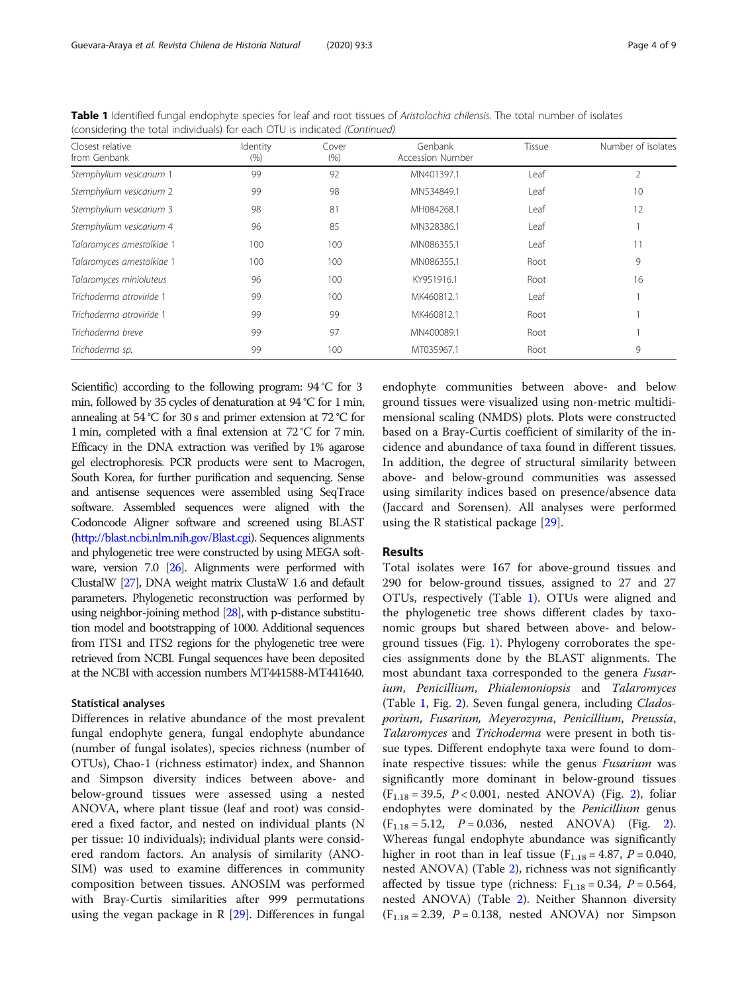| Closest relative<br>from Genbank | Identity<br>(% ) | Cover<br>(% ) | Genbank<br><b>Accession Number</b> | Tissue | Number of isolates |
|----------------------------------|------------------|---------------|------------------------------------|--------|--------------------|
| Stemphylium vesicarium 1         | 99               | 92            | MN401397.1                         | Leaf   | $\overline{2}$     |
| Stemphylium vesicarium 2         | 99               | 98            | MN534849.1                         | Leaf   | 10                 |
| Stemphylium vesicarium 3         | 98               | 81            | MH084268.1                         | Leaf   | 12                 |
| Stemphylium vesicarium 4         | 96               | 85            | MN328386.1                         | Leaf   |                    |
| Talaromyces amestolkiae 1        | 100              | 100           | MN086355.1                         | Leaf   |                    |
| Talaromyces amestolkiae 1        | 100              | 100           | MN086355.1                         | Root   | 9                  |
| Talaromyces minioluteus          | 96               | 100           | KY951916.1                         | Root   | 16                 |
| Trichoderma atroviride 1         | 99               | 100           | MK460812.1                         | Leaf   |                    |
| Trichoderma atroviride 1         | 99               | 99            | MK460812.1                         | Root   |                    |
| Trichoderma breve                | 99               | 97            | MN400089.1                         | Root   |                    |
| Trichoderma sp.                  | 99               | 100           | MT035967.1                         | Root   | 9                  |

Table 1 Identified fungal endophyte species for leaf and root tissues of Aristolochia chilensis. The total number of isolates (considering the total individuals) for each OTU is indicated (Continued)

Scientific) according to the following program: 94 °C for 3 min, followed by 35 cycles of denaturation at 94 °C for 1 min, annealing at 54 °C for 30 s and primer extension at 72 °C for 1 min, completed with a final extension at 72 °C for 7 min. Efficacy in the DNA extraction was verified by 1% agarose gel electrophoresis. PCR products were sent to Macrogen, South Korea, for further purification and sequencing. Sense and antisense sequences were assembled using SeqTrace software. Assembled sequences were aligned with the Codoncode Aligner software and screened using BLAST ([http://blast.ncbi.nlm.nih.gov/Blast.cgi\)](http://blast.ncbi.nlm.nih.gov/Blast.cgi). Sequences alignments and phylogenetic tree were constructed by using MEGA software, version 7.0 [\[26](#page-7-0)]. Alignments were performed with ClustalW [[27\]](#page-7-0), DNA weight matrix ClustaW 1.6 and default parameters. Phylogenetic reconstruction was performed by using neighbor-joining method [\[28](#page-7-0)], with p-distance substitution model and bootstrapping of 1000. Additional sequences from ITS1 and ITS2 regions for the phylogenetic tree were retrieved from NCBI. Fungal sequences have been deposited at the NCBI with accession numbers MT441588-MT441640.

#### Statistical analyses

Differences in relative abundance of the most prevalent fungal endophyte genera, fungal endophyte abundance (number of fungal isolates), species richness (number of OTUs), Chao-1 (richness estimator) index, and Shannon and Simpson diversity indices between above- and below-ground tissues were assessed using a nested ANOVA, where plant tissue (leaf and root) was considered a fixed factor, and nested on individual plants (N per tissue: 10 individuals); individual plants were considered random factors. An analysis of similarity (ANO-SIM) was used to examine differences in community composition between tissues. ANOSIM was performed with Bray-Curtis similarities after 999 permutations using the vegan package in R  $[29]$  $[29]$  $[29]$ . Differences in fungal

endophyte communities between above- and below ground tissues were visualized using non-metric multidimensional scaling (NMDS) plots. Plots were constructed based on a Bray-Curtis coefficient of similarity of the incidence and abundance of taxa found in different tissues. In addition, the degree of structural similarity between above- and below-ground communities was assessed using similarity indices based on presence/absence data (Jaccard and Sorensen). All analyses were performed using the R statistical package [[29](#page-7-0)].

#### Results

Total isolates were 167 for above-ground tissues and 290 for below-ground tissues, assigned to 27 and 27 OTUs, respectively (Table [1](#page-2-0)). OTUs were aligned and the phylogenetic tree shows different clades by taxonomic groups but shared between above- and belowground tissues (Fig. [1\)](#page-4-0). Phylogeny corroborates the species assignments done by the BLAST alignments. The most abundant taxa corresponded to the genera Fusarium, Penicillium, Phialemoniopsis and Talaromyces (Table [1](#page-2-0), Fig. [2\)](#page-5-0). Seven fungal genera, including Cladosporium, Fusarium, Meyerozyma, Penicillium, Preussia, Talaromyces and Trichoderma were present in both tissue types. Different endophyte taxa were found to dominate respective tissues: while the genus Fusarium was significantly more dominant in below-ground tissues  $(F_{1.18} = 39.5, P < 0.001,$  nested ANOVA) (Fig. [2\)](#page-5-0), foliar endophytes were dominated by the Penicillium genus  $(F_{1.18} = 5.12, P = 0.036, nested ANOVA)$  $(F_{1.18} = 5.12, P = 0.036, nested ANOVA)$  $(F_{1.18} = 5.12, P = 0.036, nested ANOVA)$  (Fig. 2). Whereas fungal endophyte abundance was significantly higher in root than in leaf tissue ( $F_{1.18} = 4.87$ ,  $P = 0.040$ , nested ANOVA) (Table [2](#page-5-0)), richness was not significantly affected by tissue type (richness:  $F_{1,18} = 0.34$ ,  $P = 0.564$ , nested ANOVA) (Table [2\)](#page-5-0). Neither Shannon diversity  $(F_{1.18} = 2.39, P = 0.138, nested ANOVA)$  nor Simpson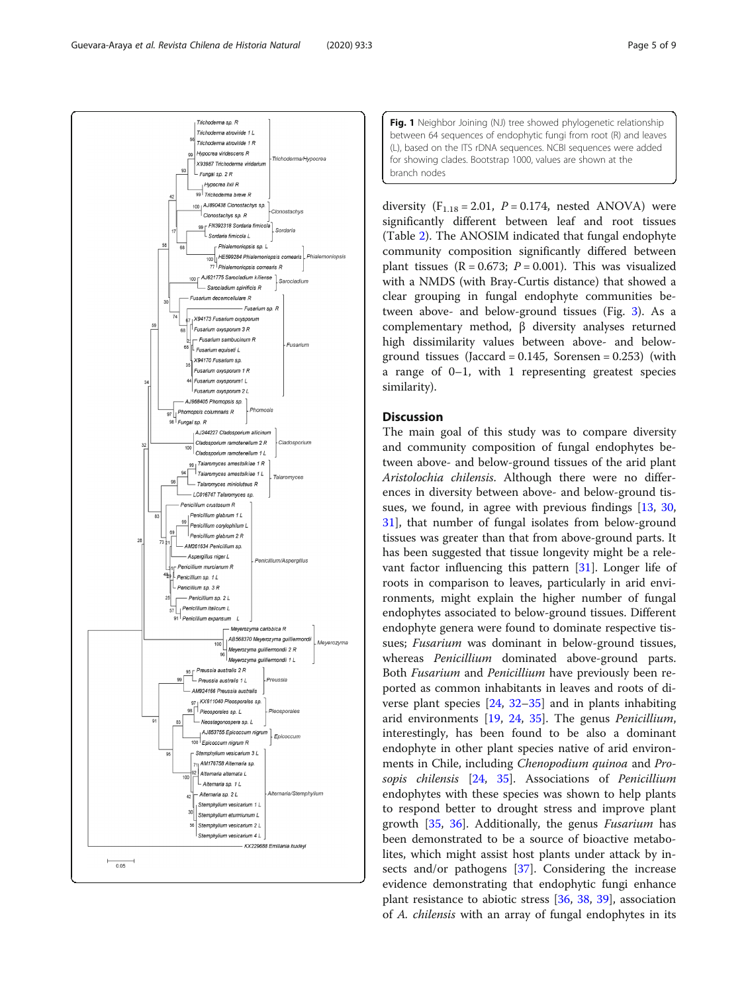<span id="page-4-0"></span>

Fig. 1 Neighbor Joining (NJ) tree showed phylogenetic relationship between 64 sequences of endophytic fungi from root (R) and leaves (L), based on the ITS rDNA sequences. NCBI sequences were added for showing clades. Bootstrap 1000, values are shown at the branch nodes

diversity  $(F_{1.18} = 2.01, P = 0.174,$  nested ANOVA) were significantly different between leaf and root tissues (Table [2\)](#page-5-0). The ANOSIM indicated that fungal endophyte community composition significantly differed between plant tissues ( $R = 0.673$ ;  $P = 0.001$ ). This was visualized with a NMDS (with Bray-Curtis distance) that showed a clear grouping in fungal endophyte communities between above- and below-ground tissues (Fig. [3\)](#page-6-0). As a complementary method, β diversity analyses returned high dissimilarity values between above- and belowground tissues (Jaccard =  $0.145$ , Sorensen =  $0.253$ ) (with a range of 0–1, with 1 representing greatest species similarity).

# **Discussion**

The main goal of this study was to compare diversity and community composition of fungal endophytes between above- and below-ground tissues of the arid plant Aristolochia chilensis. Although there were no differences in diversity between above- and below-ground tissues, we found, in agree with previous findings [[13](#page-7-0), [30](#page-7-0), [31\]](#page-7-0), that number of fungal isolates from below-ground tissues was greater than that from above-ground parts. It has been suggested that tissue longevity might be a relevant factor influencing this pattern [[31\]](#page-7-0). Longer life of roots in comparison to leaves, particularly in arid environments, might explain the higher number of fungal endophytes associated to below-ground tissues. Different endophyte genera were found to dominate respective tissues; Fusarium was dominant in below-ground tissues, whereas Penicillium dominated above-ground parts. Both Fusarium and Penicillium have previously been reported as common inhabitants in leaves and roots of diverse plant species [[24](#page-7-0), [32](#page-7-0)–[35](#page-7-0)] and in plants inhabiting arid environments [[19,](#page-7-0) [24](#page-7-0), [35\]](#page-7-0). The genus Penicillium, interestingly, has been found to be also a dominant endophyte in other plant species native of arid environments in Chile, including Chenopodium quinoa and Pro-sopis chilensis [\[24](#page-7-0), [35\]](#page-7-0). Associations of Penicillium endophytes with these species was shown to help plants to respond better to drought stress and improve plant growth [[35](#page-7-0), [36](#page-7-0)]. Additionally, the genus Fusarium has been demonstrated to be a source of bioactive metabolites, which might assist host plants under attack by insects and/or pathogens [\[37](#page-7-0)]. Considering the increase evidence demonstrating that endophytic fungi enhance plant resistance to abiotic stress [\[36](#page-7-0), [38,](#page-7-0) [39](#page-7-0)], association of A. chilensis with an array of fungal endophytes in its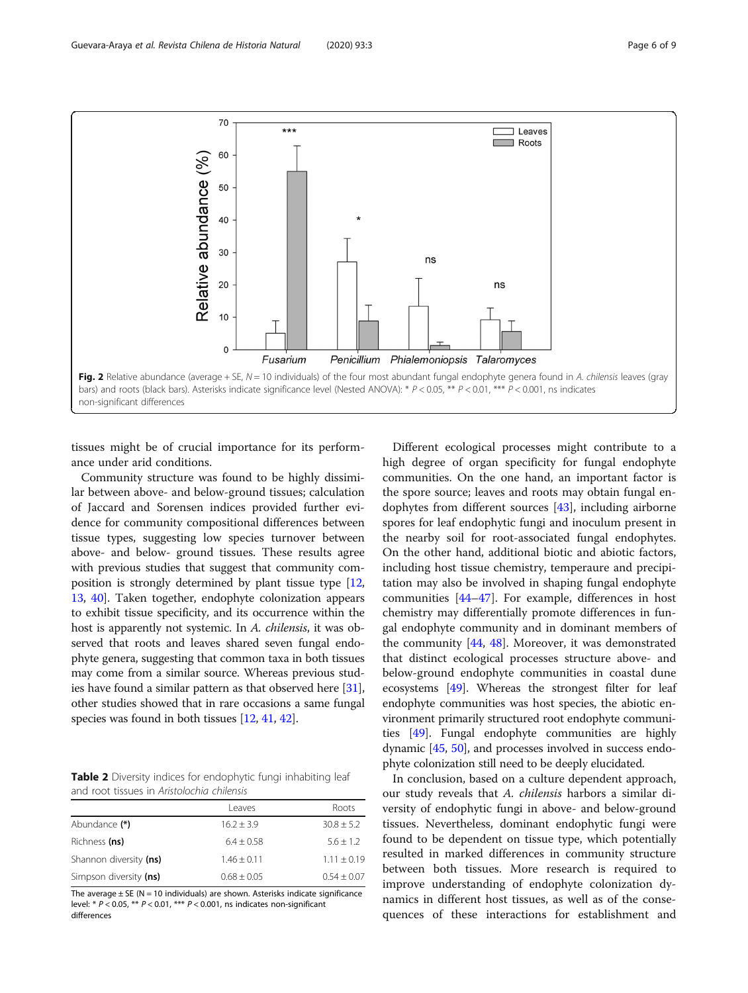<span id="page-5-0"></span>

tissues might be of crucial importance for its performance under arid conditions.

Community structure was found to be highly dissimilar between above- and below-ground tissues; calculation of Jaccard and Sorensen indices provided further evidence for community compositional differences between tissue types, suggesting low species turnover between above- and below- ground tissues. These results agree with previous studies that suggest that community composition is strongly determined by plant tissue type [[12](#page-7-0), [13](#page-7-0), [40](#page-8-0)]. Taken together, endophyte colonization appears to exhibit tissue specificity, and its occurrence within the host is apparently not systemic. In A. chilensis, it was observed that roots and leaves shared seven fungal endophyte genera, suggesting that common taxa in both tissues may come from a similar source. Whereas previous studies have found a similar pattern as that observed here [[31](#page-7-0)], other studies showed that in rare occasions a same fungal species was found in both tissues [\[12,](#page-7-0) [41](#page-8-0), [42](#page-8-0)].

Table 2 Diversity indices for endophytic fungi inhabiting leaf and root tissues in Aristolochia chilensis

|                        | <b>Leaves</b>   | Roots         |
|------------------------|-----------------|---------------|
| Abundance (*)          | $16.2 + 3.9$    | $30.8 + 5.2$  |
| Richness (ns)          | $6.4 + 0.58$    | $5.6 + 1.2$   |
| Shannon diversity (ns) | $1.46 + 0.11$   | $1.11 + 0.19$ |
| Simpson diversity (ns) | $0.68 \pm 0.05$ | $0.54 + 0.07$ |

The average  $\pm$  SE (N = 10 individuals) are shown. Asterisks indicate significance level: \*  $P < 0.05$ , \*\*  $P < 0.01$ , \*\*\*  $P < 0.001$ , ns indicates non-significant differences

Different ecological processes might contribute to a high degree of organ specificity for fungal endophyte communities. On the one hand, an important factor is the spore source; leaves and roots may obtain fungal endophytes from different sources [[43\]](#page-8-0), including airborne spores for leaf endophytic fungi and inoculum present in the nearby soil for root-associated fungal endophytes. On the other hand, additional biotic and abiotic factors, including host tissue chemistry, temperaure and precipitation may also be involved in shaping fungal endophyte communities [[44](#page-8-0)–[47](#page-8-0)]. For example, differences in host chemistry may differentially promote differences in fungal endophyte community and in dominant members of the community [[44](#page-8-0), [48\]](#page-8-0). Moreover, it was demonstrated that distinct ecological processes structure above- and below-ground endophyte communities in coastal dune ecosystems [\[49](#page-8-0)]. Whereas the strongest filter for leaf endophyte communities was host species, the abiotic environment primarily structured root endophyte communities [[49](#page-8-0)]. Fungal endophyte communities are highly dynamic [[45](#page-8-0), [50](#page-8-0)], and processes involved in success endophyte colonization still need to be deeply elucidated.

In conclusion, based on a culture dependent approach, our study reveals that A. chilensis harbors a similar diversity of endophytic fungi in above- and below-ground tissues. Nevertheless, dominant endophytic fungi were found to be dependent on tissue type, which potentially resulted in marked differences in community structure between both tissues. More research is required to improve understanding of endophyte colonization dynamics in different host tissues, as well as of the consequences of these interactions for establishment and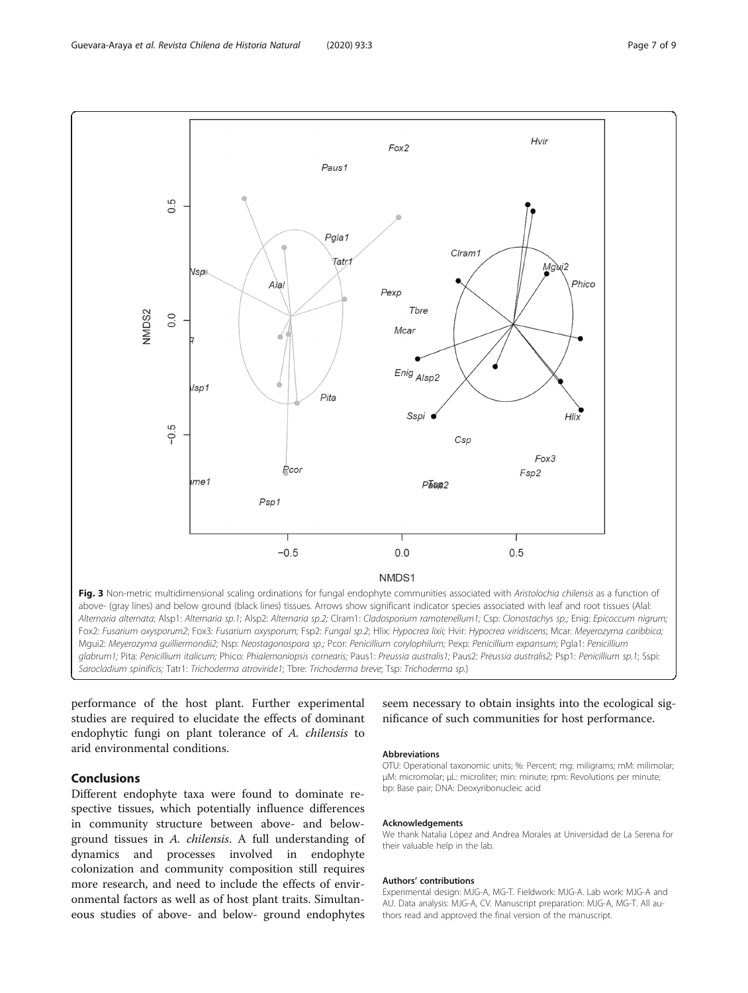<span id="page-6-0"></span>

Alternaria alternata; Alsp1: Alternaria sp.1; Alsp2: Alternaria sp.2; Clram1: Cladosporium ramotenellum1; Csp: Clonostachys sp.; Enig: Epicoccum nigrum; Fox2: Fusarium oxysporum2; Fox3: Fusarium oxysporum; Fsp2: Fungal sp.2; Hlix: Hypocrea lixii; Hvir: Hypocrea viridiscens; Mcar: Meyerozyma caribbica; Mgui2: Meyerozyma guilliermondii2; Nsp: Neostagonospora sp.; Pcor: Penicillium corylophilum; Pexp: Penicillium expansum; Pgla1: Penicillium glabrum1; Pita: Penicillium italicum; Phico: Phialemoniopsis cornearis; Paus1: Preussia australis1; Paus2: Preussia australis2; Psp1: Penicillium sp.1; Sspi: Sarocladium spinificis; Tatr1: Trichoderma atroviride1; Tbre: Trichoderma breve; Tsp: Trichoderma sp.)

performance of the host plant. Further experimental studies are required to elucidate the effects of dominant endophytic fungi on plant tolerance of A. chilensis to arid environmental conditions.

# Conclusions

Different endophyte taxa were found to dominate respective tissues, which potentially influence differences in community structure between above- and belowground tissues in A. chilensis. A full understanding of dynamics and processes involved in endophyte colonization and community composition still requires more research, and need to include the effects of environmental factors as well as of host plant traits. Simultaneous studies of above- and below- ground endophytes

seem necessary to obtain insights into the ecological significance of such communities for host performance.

#### Abbreviations

OTU: Operational taxonomic units; %: Percent; mg: miligrams; mM: milimolar; μM: micromolar; μL: microliter; min: minute; rpm: Revolutions per minute; bp: Base pair; DNA: Deoxyribonucleic acid

#### Acknowledgements

We thank Natalia López and Andrea Morales at Universidad de La Serena for their valuable help in the lab.

#### Authors' contributions

Experimental design: MJG-A, MG-T. Fieldwork: MJG-A. Lab work: MJG-A and AU. Data analysis: MJG-A, CV. Manuscript preparation: MJG-A, MG-T. All authors read and approved the final version of the manuscript.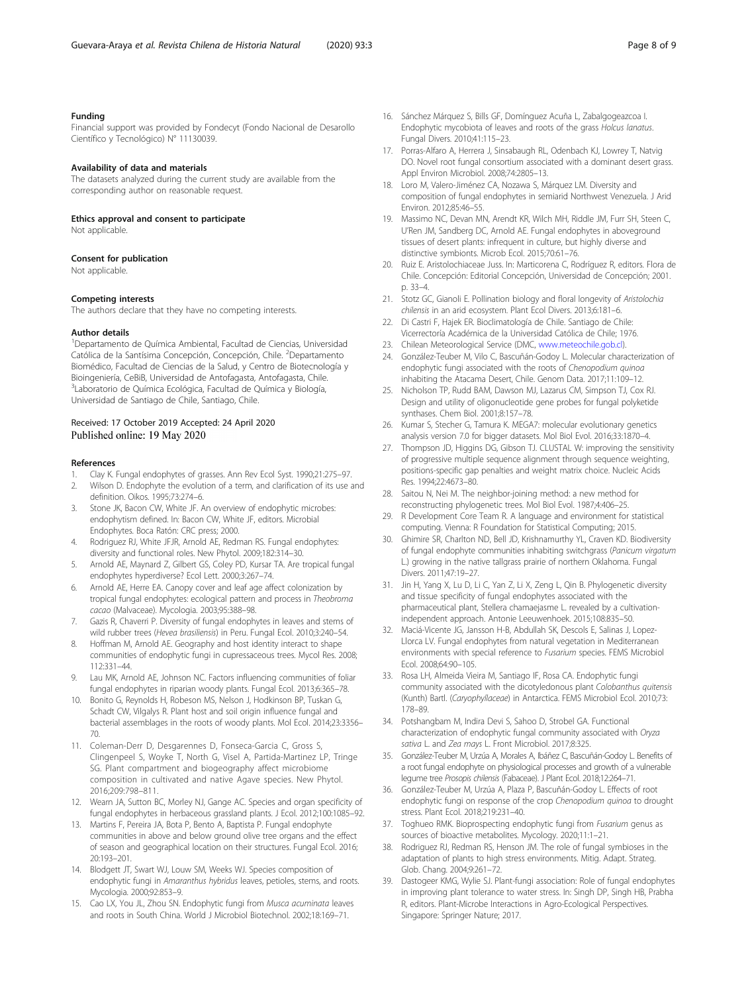#### <span id="page-7-0"></span>Funding

Financial support was provided by Fondecyt (Fondo Nacional de Desarollo Científico y Tecnológico) N° 11130039.

#### Availability of data and materials

The datasets analyzed during the current study are available from the corresponding author on reasonable request.

Ethics approval and consent to participate

Not applicable.

#### Consent for publication

Not applicable.

#### Competing interests

The authors declare that they have no competing interests.

#### Author details

1 Departamento de Química Ambiental, Facultad de Ciencias, Universidad Católica de la Santísima Concepción, Concepción, Chile. <sup>2</sup>Departamento Biomédico, Facultad de Ciencias de la Salud, y Centro de Biotecnología y Bioingeniería, CeBiB, Universidad de Antofagasta, Antofagasta, Chile. 3 Laboratorio de Química Ecológica, Facultad de Química y Biología, Universidad de Santiago de Chile, Santiago, Chile.

#### Received: 17 October 2019 Accepted: 24 April 2020 Published online: 19 May 2020

#### References

- 1. Clay K. Fungal endophytes of grasses. Ann Rev Ecol Syst. 1990;21:275–97.
- 2. Wilson D. Endophyte the evolution of a term, and clarification of its use and definition. Oikos. 1995;73:274–6.
- 3. Stone JK, Bacon CW, White JF. An overview of endophytic microbes: endophytism defined. In: Bacon CW, White JF, editors. Microbial Endophytes. Boca Ratón: CRC press; 2000.
- 4. Rodriguez RJ, White JFJR, Arnold AE, Redman RS. Fungal endophytes: diversity and functional roles. New Phytol. 2009;182:314–30.
- 5. Arnold AE, Maynard Z, Gilbert GS, Coley PD, Kursar TA. Are tropical fungal endophytes hyperdiverse? Ecol Lett. 2000;3:267–74.
- 6. Arnold AE, Herre EA. Canopy cover and leaf age affect colonization by tropical fungal endophytes: ecological pattern and process in Theobroma cacao (Malvaceae). Mycologia. 2003;95:388–98.
- 7. Gazis R, Chaverri P. Diversity of fungal endophytes in leaves and stems of wild rubber trees (Hevea brasiliensis) in Peru. Fungal Ecol. 2010;3:240–54.
- 8. Hoffman M, Arnold AE. Geography and host identity interact to shape communities of endophytic fungi in cupressaceous trees. Mycol Res. 2008; 112:331–44.
- 9. Lau MK, Arnold AE, Johnson NC. Factors influencing communities of foliar fungal endophytes in riparian woody plants. Fungal Ecol. 2013;6:365–78.
- 10. Bonito G, Reynolds H, Robeson MS, Nelson J, Hodkinson BP, Tuskan G, Schadt CW, Vilgalys R. Plant host and soil origin influence fungal and bacterial assemblages in the roots of woody plants. Mol Ecol. 2014;23:3356– 70.
- 11. Coleman-Derr D, Desgarennes D, Fonseca-Garcia C, Gross S, Clingenpeel S, Woyke T, North G, Visel A, Partida-Martinez LP, Tringe SG. Plant compartment and biogeography affect microbiome composition in cultivated and native Agave species. New Phytol. 2016;209:798–811.
- 12. Wearn JA, Sutton BC, Morley NJ, Gange AC. Species and organ specificity of fungal endophytes in herbaceous grassland plants. J Ecol. 2012;100:1085–92.
- 13. Martins F, Pereira JA, Bota P, Bento A, Baptista P. Fungal endophyte communities in above and below ground olive tree organs and the effect of season and geographical location on their structures. Fungal Ecol. 2016; 20:193–201.
- 14. Blodgett JT, Swart WJ, Louw SM, Weeks WJ. Species composition of endophytic fungi in Amaranthus hybridus leaves, petioles, stems, and roots. Mycologia. 2000;92:853–9.
- 15. Cao LX, You JL, Zhou SN. Endophytic fungi from Musca acuminata leaves and roots in South China. World J Microbiol Biotechnol. 2002;18:169–71.
- 16. Sánchez Márquez S, Bills GF, Domínguez Acuña L, Zabalgogeazcoa I. Endophytic mycobiota of leaves and roots of the grass Holcus lanatus. Fungal Divers. 2010;41:115–23.
- 17. Porras-Alfaro A, Herrera J, Sinsabaugh RL, Odenbach KJ, Lowrey T, Natvig DO. Novel root fungal consortium associated with a dominant desert grass. Appl Environ Microbiol. 2008;74:2805–13.
- 18. Loro M, Valero-Jiménez CA, Nozawa S, Márquez LM. Diversity and composition of fungal endophytes in semiarid Northwest Venezuela. J Arid Environ. 2012;85:46–55.
- 19. Massimo NC, Devan MN, Arendt KR, Wilch MH, Riddle JM, Furr SH, Steen C, U'Ren JM, Sandberg DC, Arnold AE. Fungal endophytes in aboveground tissues of desert plants: infrequent in culture, but highly diverse and distinctive symbionts. Microb Ecol. 2015;70:61–76.
- 20. Ruiz E. Aristolochiaceae Juss. In: Marticorena C, Rodríguez R, editors. Flora de Chile. Concepción: Editorial Concepción, Universidad de Concepción; 2001. p. 33–4.
- 21. Stotz GC, Gianoli E. Pollination biology and floral longevity of Aristolochia chilensis in an arid ecosystem. Plant Ecol Divers. 2013;6:181–6.
- 22. Di Castri F, Hajek ER. Bioclimatología de Chile. Santiago de Chile: Vicerrectoría Académica de la Universidad Católica de Chile; 1976.
- 23. Chilean Meteorological Service (DMC, [www.meteochile.gob.cl\)](http://www.meteochile.gob.cl).
- 24. González-Teuber M, Vilo C, Bascuñán-Godoy L. Molecular characterization of endophytic fungi associated with the roots of Chenopodium quinoa inhabiting the Atacama Desert, Chile. Genom Data. 2017;11:109–12.
- 25. Nicholson TP, Rudd BAM, Dawson MJ, Lazarus CM, Simpson TJ, Cox RJ. Design and utility of oligonucleotide gene probes for fungal polyketide synthases. Chem Biol. 2001;8:157–78.
- 26. Kumar S, Stecher G, Tamura K. MEGA7: molecular evolutionary genetics analysis version 7.0 for bigger datasets. Mol Biol Evol. 2016;33:1870–4.
- 27. Thompson JD, Higgins DG, Gibson TJ. CLUSTAL W: improving the sensitivity of progressive multiple sequence alignment through sequence weighting, positions-specific gap penalties and weight matrix choice. Nucleic Acids Res. 1994;22:4673–80.
- 28. Saitou N, Nei M. The neighbor-joining method: a new method for reconstructing phylogenetic trees. Mol Biol Evol. 1987;4:406–25.
- 29. R Development Core Team R. A language and environment for statistical computing. Vienna: R Foundation for Statistical Computing; 2015.
- 30. Ghimire SR, Charlton ND, Bell JD, Krishnamurthy YL, Craven KD. Biodiversity of fungal endophyte communities inhabiting switchgrass (Panicum virgatum L.) growing in the native tallgrass prairie of northern Oklahoma. Fungal Divers. 2011;47:19–27.
- 31. Jin H, Yang X, Lu D, Li C, Yan Z, Li X, Zeng L, Qin B. Phylogenetic diversity and tissue specificity of fungal endophytes associated with the pharmaceutical plant, Stellera chamaejasme L. revealed by a cultivationindependent approach. Antonie Leeuwenhoek. 2015;108:835–50.
- 32. Maciá-Vicente JG, Jansson H-B, Abdullah SK, Descols E, Salinas J, Lopez-Llorca LV. Fungal endophytes from natural vegetation in Mediterranean environments with special reference to Fusarium species. FEMS Microbiol Ecol. 2008;64:90–105.
- 33. Rosa LH, Almeida Vieira M, Santiago IF, Rosa CA. Endophytic fungi community associated with the dicotyledonous plant Colobanthus quitensis (Kunth) Bartl. (Caryophyllaceae) in Antarctica. FEMS Microbiol Ecol. 2010;73: 178–89.
- 34. Potshangbam M, Indira Devi S, Sahoo D, Strobel GA. Functional characterization of endophytic fungal community associated with Oryza sativa L. and Zea mays L. Front Microbiol. 2017;8:325.
- 35. González-Teuber M, Urzúa A, Morales A, Ibáñez C, Bascuñán-Godoy L. Benefits of a root fungal endophyte on physiological processes and growth of a vulnerable legume tree Prosopis chilensis (Fabaceae). J Plant Ecol. 2018;12:264–71.
- 36. González-Teuber M, Urzúa A, Plaza P, Bascuñán-Godoy L. Effects of root endophytic fungi on response of the crop Chenopodium quinoa to drought stress. Plant Ecol. 2018;219:231–40.
- 37. Toghueo RMK. Bioprospecting endophytic fungi from Fusarium genus as sources of bioactive metabolites. Mycology. 2020;11:1–21.
- 38. Rodriguez RJ, Redman RS, Henson JM. The role of fungal symbioses in the adaptation of plants to high stress environments. Mitig. Adapt. Strateg. Glob. Chang. 2004;9:261–72.
- 39. Dastogeer KMG, Wylie SJ. Plant-fungi association: Role of fungal endophytes in improving plant tolerance to water stress. In: Singh DP, Singh HB, Prabha R, editors. Plant-Microbe Interactions in Agro-Ecological Perspectives. Singapore: Springer Nature; 2017.